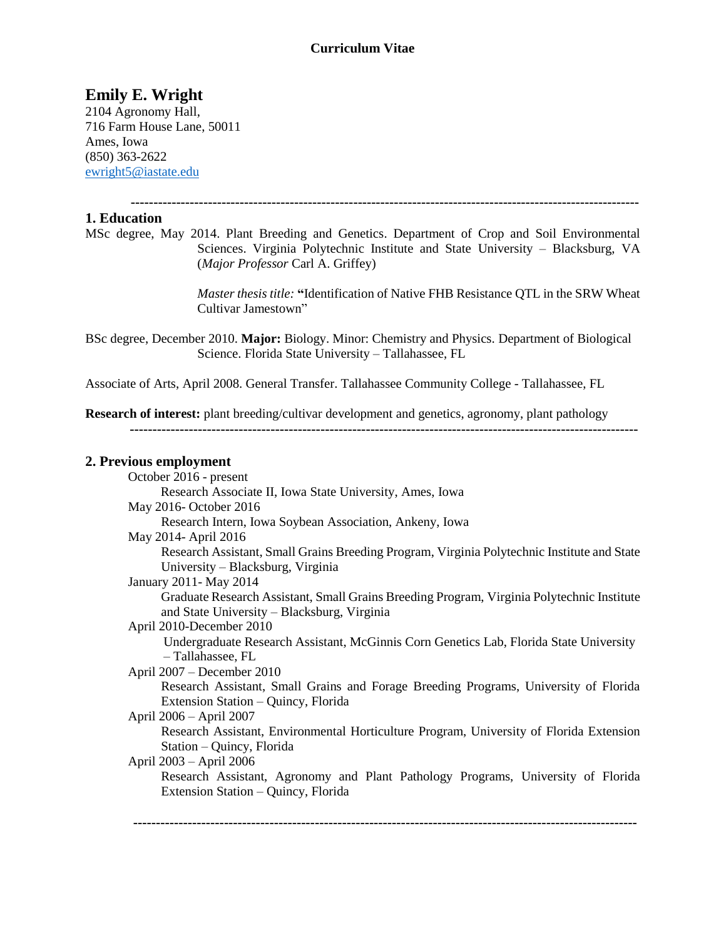### **Curriculum Vitae**

# **Emily E. Wright**

2104 Agronomy Hall, 716 Farm House Lane, 50011 Ames, Iowa (850) 363-2622 [ewright5@iastate.edu](mailto:ewright5@iastate.edu)

 **----------------------------------------------------------------------------------------------------------------**

### **1. Education**

MSc degree, May 2014. Plant Breeding and Genetics. Department of Crop and Soil Environmental Sciences. Virginia Polytechnic Institute and State University – Blacksburg, VA (*Major Professor* Carl A. Griffey)

> *Master thesis title:* **"**Identification of Native FHB Resistance QTL in the SRW Wheat Cultivar Jamestown"

BSc degree, December 2010. **Major:** Biology. Minor: Chemistry and Physics. Department of Biological Science. Florida State University – Tallahassee, FL

Associate of Arts, April 2008. General Transfer. Tallahassee Community College - Tallahassee, FL

**Research of interest:** plant breeding/cultivar development and genetics, agronomy, plant pathology  **----------------------------------------------------------------------------------------------------------------**

#### **2. Previous employment**

| October 2016 - present                                                                      |
|---------------------------------------------------------------------------------------------|
| Research Associate II, Iowa State University, Ames, Iowa                                    |
| May 2016- October 2016                                                                      |
| Research Intern, Iowa Soybean Association, Ankeny, Iowa                                     |
| May 2014- April 2016                                                                        |
| Research Assistant, Small Grains Breeding Program, Virginia Polytechnic Institute and State |
| University – Blacksburg, Virginia                                                           |
| January 2011 - May 2014                                                                     |
| Graduate Research Assistant, Small Grains Breeding Program, Virginia Polytechnic Institute  |
| and State University – Blacksburg, Virginia                                                 |
| April 2010-December 2010                                                                    |
| Undergraduate Research Assistant, McGinnis Corn Genetics Lab, Florida State University      |
| - Tallahassee, FL                                                                           |
| April 2007 – December 2010                                                                  |
| Research Assistant, Small Grains and Forage Breeding Programs, University of Florida        |
| Extension Station – Quincy, Florida                                                         |
| April 2006 – April 2007                                                                     |
| Research Assistant, Environmental Horticulture Program, University of Florida Extension     |
| Station – Quincy, Florida                                                                   |
| April 2003 – April 2006                                                                     |
| Research Assistant, Agronomy and Plant Pathology Programs, University of Florida            |
| Extension Station – Quincy, Florida                                                         |
|                                                                                             |

 **---------------------------------------------------------------------------------------------------------------**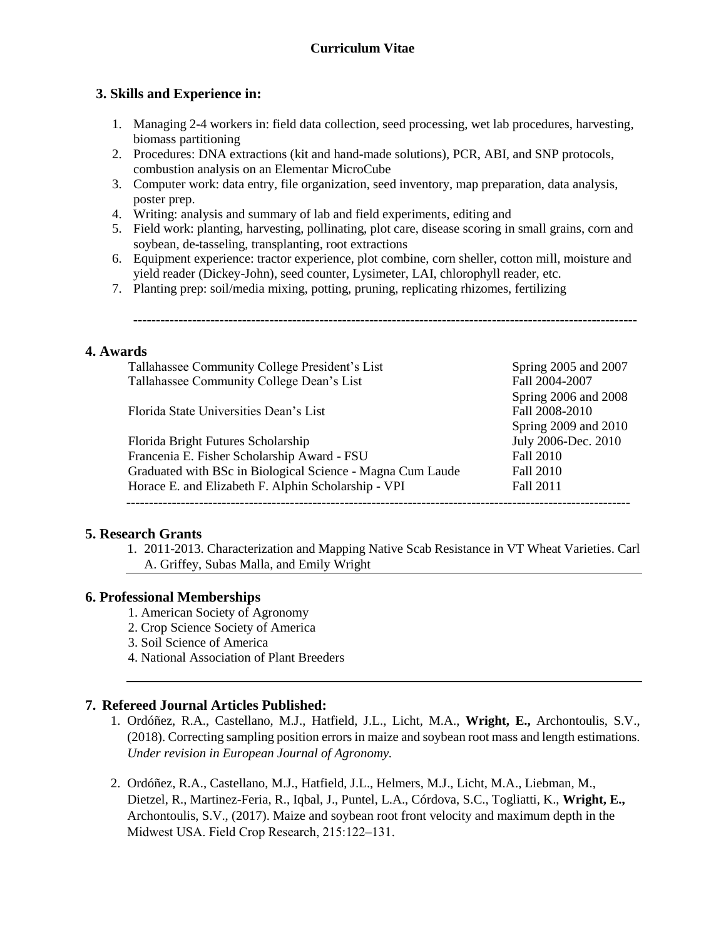# **3. Skills and Experience in:**

- 1. Managing 2-4 workers in: field data collection, seed processing, wet lab procedures, harvesting, biomass partitioning
- 2. Procedures: DNA extractions (kit and hand-made solutions), PCR, ABI, and SNP protocols, combustion analysis on an Elementar MicroCube
- 3. Computer work: data entry, file organization, seed inventory, map preparation, data analysis, poster prep.
- 4. Writing: analysis and summary of lab and field experiments, editing and
- 5. Field work: planting, harvesting, pollinating, plot care, disease scoring in small grains, corn and soybean, de-tasseling, transplanting, root extractions
- 6. Equipment experience: tractor experience, plot combine, corn sheller, cotton mill, moisture and yield reader (Dickey-John), seed counter, Lysimeter, LAI, chlorophyll reader, etc.
- 7. Planting prep: soil/media mixing, potting, pruning, replicating rhizomes, fertilizing

 **---------------------------------------------------------------------------------------------------------------**

### **4. Awards**

| Tallahassee Community College President's List             | Spring 2005 and 2007 |
|------------------------------------------------------------|----------------------|
| Tallahassee Community College Dean's List                  | Fall 2004-2007       |
|                                                            | Spring 2006 and 2008 |
| Florida State Universities Dean's List                     | Fall 2008-2010       |
|                                                            | Spring 2009 and 2010 |
| Florida Bright Futures Scholarship                         | July 2006-Dec. 2010  |
| Francenia E. Fisher Scholarship Award - FSU                | <b>Fall 2010</b>     |
| Graduated with BSc in Biological Science - Magna Cum Laude | Fall 2010            |
| Horace E. and Elizabeth F. Alphin Scholarship - VPI        | Fall 2011            |

#### **5. Research Grants**

1. 2011-2013. Characterization and Mapping Native Scab Resistance in VT Wheat Varieties. Carl A. Griffey, Subas Malla, and Emily Wright

#### **6. Professional Memberships**

- 1. American Society of Agronomy
- 2. Crop Science Society of America
- 3. Soil Science of America
- 4. National Association of Plant Breeders

# **7. Refereed Journal Articles Published:**

- 1. Ordóñez, R.A., Castellano, M.J., Hatfield, J.L., Licht, M.A., **Wright, E.,** Archontoulis, S.V., (2018). Correcting sampling position errors in maize and soybean root mass and length estimations. *Under revision in European Journal of Agronomy.*
- 2. Ordóñez, R.A., Castellano, M.J., Hatfield, J.L., Helmers, M.J., Licht, M.A., Liebman, M., Dietzel, R., Martinez-Feria, R., Iqbal, J., Puntel, L.A., Córdova, S.C., Togliatti, K., **Wright, E.,** Archontoulis, S.V., (2017). Maize and soybean root front velocity and maximum depth in the Midwest USA. Field Crop Research, 215:122-131.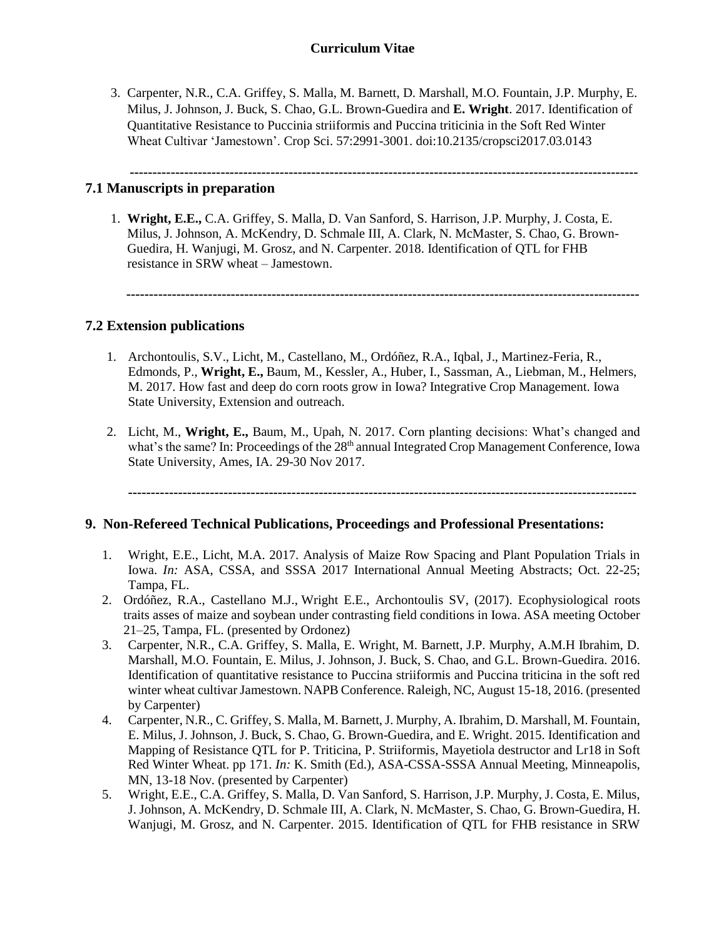# **Curriculum Vitae**

3. Carpenter, N.R., C.A. Griffey, S. Malla, M. Barnett, D. Marshall, M.O. Fountain, J.P. Murphy, E. Milus, J. Johnson, J. Buck, S. Chao, G.L. Brown-Guedira and **E. Wright**. 2017. Identification of Quantitative Resistance to Puccinia striiformis and Puccina triticinia in the Soft Red Winter Wheat Cultivar 'Jamestown'. Crop Sci. 57:2991-3001. doi:10.2135/cropsci2017.03.0143

 **----------------------------------------------------------------------------------------------------------------**

# **7.1 Manuscripts in preparation**

1. **Wright, E.E.,** C.A. Griffey, S. Malla, D. Van Sanford, S. Harrison, J.P. Murphy, J. Costa, E. Milus, J. Johnson, A. McKendry, D. Schmale III, A. Clark, N. McMaster, S. Chao, G. Brown-Guedira, H. Wanjugi, M. Grosz, and N. Carpenter. 2018. Identification of QTL for FHB resistance in SRW wheat – Jamestown.

 **-----------------------------------------------------------------------------------------------------------------**

### **7.2 Extension publications**

- 1. Archontoulis, S.V., Licht, M., Castellano, M., Ordóñez, R.A., Iqbal, J., Martinez-Feria, R., Edmonds, P., **Wright, E.,** Baum, M., Kessler, A., Huber, I., Sassman, A., Liebman, M., Helmers, M. 2017. How fast and deep do corn roots grow in Iowa? Integrative Crop Management. Iowa State University, Extension and outreach.
- 2. Licht, M., **Wright, E.,** Baum, M., Upah, N. 2017. Corn planting decisions: What's changed and what's the same? In: Proceedings of the 28<sup>th</sup> annual Integrated Crop Management Conference, Iowa State University, Ames, IA. 29-30 Nov 2017.

**----------------------------------------------------------------------------------------------------------------**

#### **9. Non-Refereed Technical Publications, Proceedings and Professional Presentations:**

- 1. Wright, E.E., Licht, M.A. 2017. Analysis of Maize Row Spacing and Plant Population Trials in Iowa. *In:* ASA, CSSA, and SSSA 2017 International Annual Meeting Abstracts; Oct. 22-25; Tampa, FL.
- 2. Ordóñez, R.A., Castellano M.J., Wright E.E., Archontoulis SV, (2017). Ecophysiological roots traits asses of maize and soybean under contrasting field conditions in Iowa. ASA meeting October 21–25, Tampa, FL. (presented by Ordonez)
- 3. Carpenter, N.R., C.A. Griffey, S. Malla, E. Wright, M. Barnett, J.P. Murphy, A.M.H Ibrahim, D. Marshall, M.O. Fountain, E. Milus, J. Johnson, J. Buck, S. Chao, and G.L. Brown-Guedira. 2016. Identification of quantitative resistance to Puccina striiformis and Puccina triticina in the soft red winter wheat cultivar Jamestown. NAPB Conference. Raleigh, NC, August 15-18, 2016. (presented by Carpenter)
- 4. Carpenter, N.R., C. Griffey, S. Malla, M. Barnett, J. Murphy, A. Ibrahim, D. Marshall, M. Fountain, E. Milus, J. Johnson, J. Buck, S. Chao, G. Brown-Guedira, and E. Wright. 2015. Identification and Mapping of Resistance QTL for P. Triticina, P. Striiformis, Mayetiola destructor and Lr18 in Soft Red Winter Wheat. pp 171. *In:* K. Smith (Ed.), ASA-CSSA-SSSA Annual Meeting, Minneapolis, MN, 13-18 Nov. (presented by Carpenter)
- 5. Wright, E.E., C.A. Griffey, S. Malla, D. Van Sanford, S. Harrison, J.P. Murphy, J. Costa, E. Milus, J. Johnson, A. McKendry, D. Schmale III, A. Clark, N. McMaster, S. Chao, G. Brown-Guedira, H. Wanjugi, M. Grosz, and N. Carpenter. 2015. Identification of QTL for FHB resistance in SRW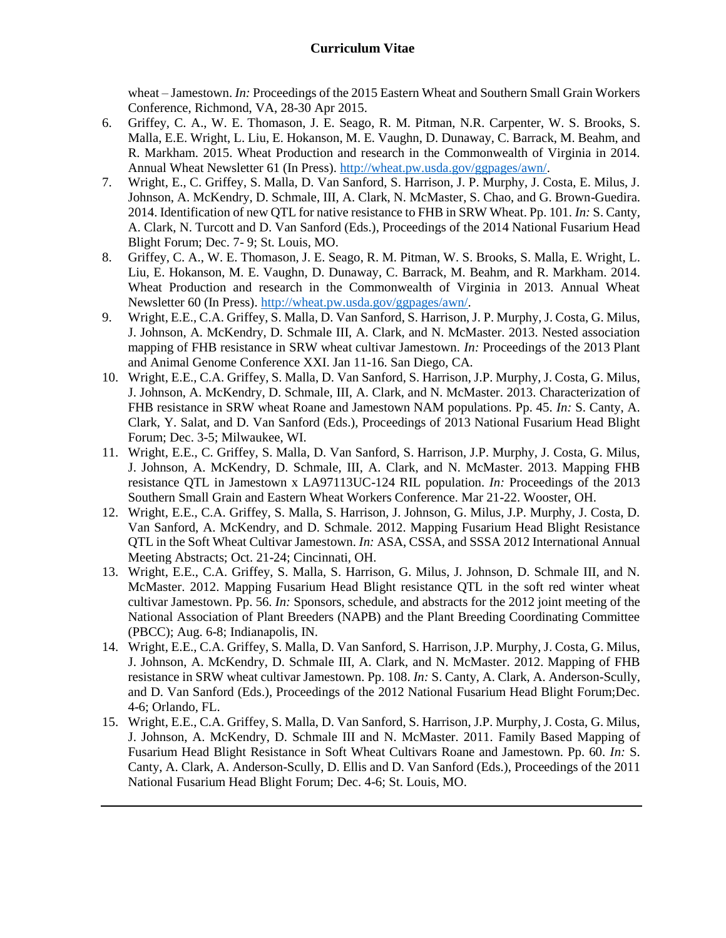wheat – Jamestown. *In:* Proceedings of the 2015 Eastern Wheat and Southern Small Grain Workers Conference, Richmond, VA, 28-30 Apr 2015.

- 6. Griffey, C. A., W. E. Thomason, J. E. Seago, R. M. Pitman, N.R. Carpenter, W. S. Brooks, S. Malla, E.E. Wright, L. Liu, E. Hokanson, M. E. Vaughn, D. Dunaway, C. Barrack, M. Beahm, and R. Markham. 2015. Wheat Production and research in the Commonwealth of Virginia in 2014. Annual Wheat Newsletter 61 (In Press)[. http://wheat.pw.usda.gov/ggpages/awn/.](http://wheat.pw.usda.gov/ggpages/awn/)
- 7. Wright, E., C. Griffey, S. Malla, D. Van Sanford, S. Harrison, J. P. Murphy, J. Costa, E. Milus, J. Johnson, A. McKendry, D. Schmale, III, A. Clark, N. McMaster, S. Chao, and G. Brown-Guedira. 2014. Identification of new QTL for native resistance to FHB in SRW Wheat. Pp. 101. *In:* S. Canty, A. Clark, N. Turcott and D. Van Sanford (Eds.), Proceedings of the 2014 National Fusarium Head Blight Forum; Dec. 7- 9; St. Louis, MO.
- 8. Griffey, C. A., W. E. Thomason, J. E. Seago, R. M. Pitman, W. S. Brooks, S. Malla, E. Wright, L. Liu, E. Hokanson, M. E. Vaughn, D. Dunaway, C. Barrack, M. Beahm, and R. Markham. 2014. Wheat Production and research in the Commonwealth of Virginia in 2013. Annual Wheat Newsletter 60 (In Press). [http://wheat.pw.usda.gov/ggpages/awn/.](http://wheat.pw.usda.gov/ggpages/awn/)
- 9. Wright, E.E., C.A. Griffey, S. Malla, D. Van Sanford, S. Harrison, J. P. Murphy, J. Costa, G. Milus, J. Johnson, A. McKendry, D. Schmale III, A. Clark, and N. McMaster. 2013. Nested association mapping of FHB resistance in SRW wheat cultivar Jamestown. *In:* Proceedings of the 2013 Plant and Animal Genome Conference XXI. Jan 11-16. San Diego, CA.
- 10. Wright, E.E., C.A. Griffey, S. Malla, D. Van Sanford, S. Harrison, J.P. Murphy, J. Costa, G. Milus, J. Johnson, A. McKendry, D. Schmale, III, A. Clark, and N. McMaster. 2013. Characterization of FHB resistance in SRW wheat Roane and Jamestown NAM populations. Pp. 45. *In:* S. Canty, A. Clark, Y. Salat, and D. Van Sanford (Eds.), Proceedings of 2013 National Fusarium Head Blight Forum; Dec. 3-5; Milwaukee, WI.
- 11. Wright, E.E., C. Griffey, S. Malla, D. Van Sanford, S. Harrison, J.P. Murphy, J. Costa, G. Milus, J. Johnson, A. McKendry, D. Schmale, III, A. Clark, and N. McMaster. 2013. Mapping FHB resistance QTL in Jamestown x LA97113UC-124 RIL population. *In:* Proceedings of the 2013 Southern Small Grain and Eastern Wheat Workers Conference. Mar 21-22. Wooster, OH.
- 12. Wright, E.E., C.A. Griffey, S. Malla, S. Harrison, J. Johnson, G. Milus, J.P. Murphy, J. Costa, D. Van Sanford, A. McKendry, and D. Schmale. 2012. Mapping Fusarium Head Blight Resistance QTL in the Soft Wheat Cultivar Jamestown. *In:* ASA, CSSA, and SSSA 2012 International Annual Meeting Abstracts; Oct. 21-24; Cincinnati, OH.
- 13. Wright, E.E., C.A. Griffey, S. Malla, S. Harrison, G. Milus, J. Johnson, D. Schmale III, and N. McMaster. 2012. Mapping Fusarium Head Blight resistance QTL in the soft red winter wheat cultivar Jamestown. Pp. 56. *In:* Sponsors, schedule, and abstracts for the 2012 joint meeting of the National Association of Plant Breeders (NAPB) and the Plant Breeding Coordinating Committee (PBCC); Aug. 6-8; Indianapolis, IN.
- 14. Wright, E.E., C.A. Griffey, S. Malla, D. Van Sanford, S. Harrison, J.P. Murphy, J. Costa, G. Milus, J. Johnson, A. McKendry, D. Schmale III, A. Clark, and N. McMaster. 2012. Mapping of FHB resistance in SRW wheat cultivar Jamestown. Pp. 108. *In:* S. Canty, A. Clark, A. Anderson-Scully, and D. Van Sanford (Eds.), Proceedings of the 2012 National Fusarium Head Blight Forum;Dec. 4-6; Orlando, FL.
- 15. Wright, E.E., C.A. Griffey, S. Malla, D. Van Sanford, S. Harrison, J.P. Murphy, J. Costa, G. Milus, J. Johnson, A. McKendry, D. Schmale III and N. McMaster. 2011. Family Based Mapping of Fusarium Head Blight Resistance in Soft Wheat Cultivars Roane and Jamestown. Pp. 60. *In:* S. Canty, A. Clark, A. Anderson-Scully, D. Ellis and D. Van Sanford (Eds.), Proceedings of the 2011 National Fusarium Head Blight Forum; Dec. 4-6; St. Louis, MO.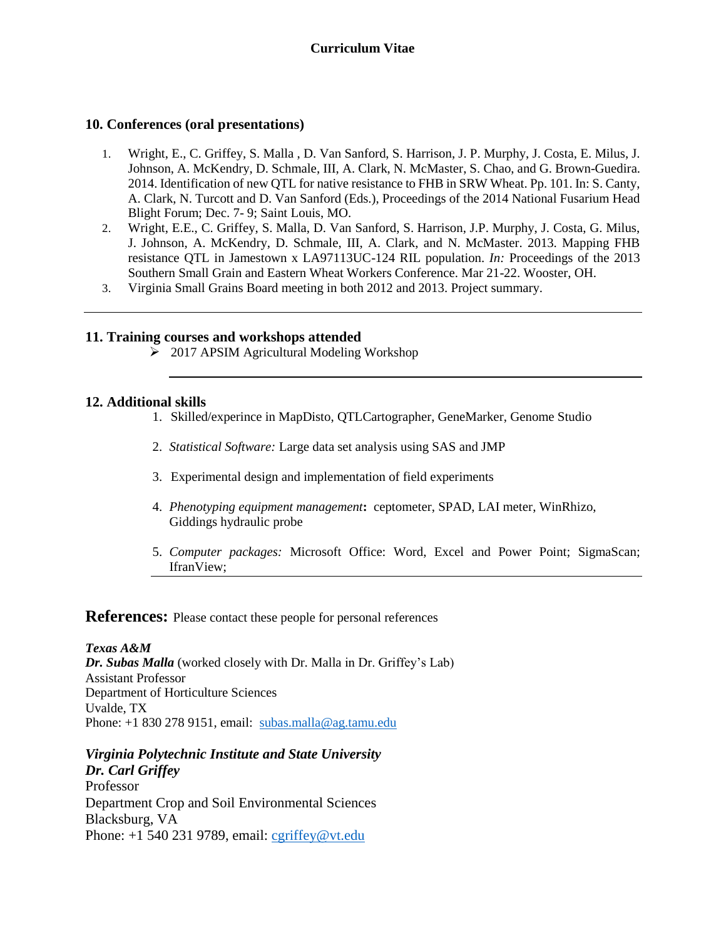#### **10. Conferences (oral presentations)**

- 1. Wright, E., C. Griffey, S. Malla , D. Van Sanford, S. Harrison, J. P. Murphy, J. Costa, E. Milus, J. Johnson, A. McKendry, D. Schmale, III, A. Clark, N. McMaster, S. Chao, and G. Brown-Guedira. 2014. Identification of new QTL for native resistance to FHB in SRW Wheat. Pp. 101. In: S. Canty, A. Clark, N. Turcott and D. Van Sanford (Eds.), Proceedings of the 2014 National Fusarium Head Blight Forum; Dec. 7- 9; Saint Louis, MO.
- 2. Wright, E.E., C. Griffey, S. Malla, D. Van Sanford, S. Harrison, J.P. Murphy, J. Costa, G. Milus, J. Johnson, A. McKendry, D. Schmale, III, A. Clark, and N. McMaster. 2013. Mapping FHB resistance QTL in Jamestown x LA97113UC-124 RIL population. *In:* Proceedings of the 2013 Southern Small Grain and Eastern Wheat Workers Conference. Mar 21-22. Wooster, OH.
- 3. Virginia Small Grains Board meeting in both 2012 and 2013. Project summary.

#### **11. Training courses and workshops attended**

> 2017 APSIM Agricultural Modeling Workshop

#### **12. Additional skills**

- 1. Skilled/experince in MapDisto, QTLCartographer, GeneMarker, Genome Studio
- 2. *Statistical Software:* Large data set analysis using SAS and JMP
- 3. Experimental design and implementation of field experiments
- 4. *Phenotyping equipment management***:** ceptometer, SPAD, LAI meter, WinRhizo, Giddings hydraulic probe
- 5. *Computer packages:* Microsoft Office: Word, Excel and Power Point; SigmaScan; IfranView;

#### **References:** Please contact these people for personal references

*Texas A&M Dr. Subas Malla* (worked closely with Dr. Malla in Dr. Griffey's Lab) Assistant Professor Department of Horticulture Sciences Uvalde, TX Phone: +1 830 278 9151, email: [subas.malla@ag.tamu.edu](mailto:subas.malla@ag.tamu.edu)

#### *Virginia Polytechnic Institute and State University Dr. Carl Griffey*

Professor Department Crop and Soil Environmental Sciences Blacksburg, VA Phone: +1 540 231 9789, email: [cgriffey@vt.edu](mailto:cgriffey@vt.edu)